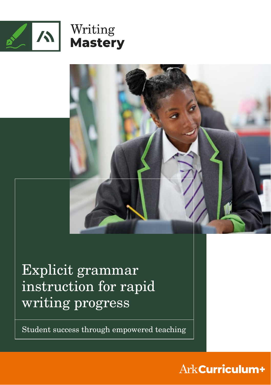



Explicit grammar instruction for rapid writing progress

Student success through empowered teaching

## Ark Curriculum+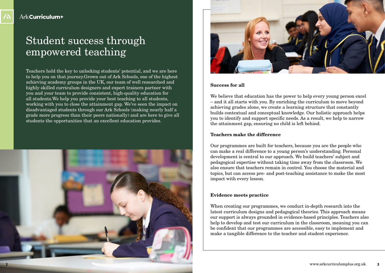# Student success through empowered teaching

Teachers hold the key to unlocking students' potential, and we are here to help you on that journey.Grown out of Ark Schools, one of the highest achieving academy groups in the UK, our team of well researched and highly skilled curriculum designers and expert trainers partner with you and your team to provide consistent, high-quality education for all students.We help you provide your best teaching to all students, working with you to close the attainment gap. We've seen the impact on disadvantaged students through our Ark Schools (making nearly half a grade more progress than their peers nationally) and are here to give all students the opportunities that an excellent education provides.





#### **Success for all**

We believe that education has the power to help every young person excel – and it all starts with you. By enriching the curriculum to move beyond achieving grades alone, we create a learning structure that constantly builds contextual and conceptual knowledge. Our holistic approach helps you to identify and support specific needs. As a result, we help to narrow the attainment gap, ensuring no child is left behind.

#### **Teachers make the difference**

Our programmes are built for teachers, because you are the people who can make a real difference to a young person's understanding. Personal development is central to our approach. We build teachers' subject and pedagogical expertise without taking time away from the classroom. We also ensure that teachers remain in control. You choose the material and topics, but can access pre- and post-teaching assistance to make the most impact with every lesson.

#### **Evidence meets practice**

When creating our programmes, we conduct in-depth research into the latest curriculum designs and pedagogical theories. This approach means our support is always grounded in evidence-based principles. Teachers also help to develop and test our curriculum in the classroom, meaning you can be confident that our programmes are accessible, easy to implement and make a tangible difference to the teacher and student experience.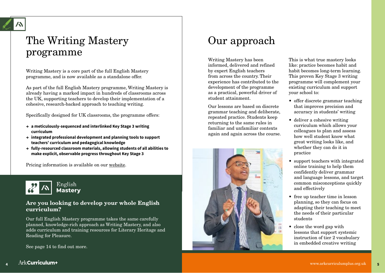# The Writing Mastery programme

Writing Mastery is a core part of the full English Mastery programme, and is now available as a standalone offer.

As part of the full English Mastery programme, Writing Mastery is already having a marked impact in hundreds of classrooms across the UK, supporting teachers to develop their implementation of a cohesive, research-backed approach to teaching writing.

Specifically designed for UK classrooms, the programme offers:

- **→ a meticulously-sequenced and interlinked Key Stage 3 writing curriculum**
- **→ integrated professional development and planning tools to support teachers' curriculum and pedagogical knowledge**
- **→ fully-resourced classroom materials, allowing students of all abilities to make explicit, observable progress throughout Key Stage 3**

Pricing information is available on our <u>[website](https://www.arkcurriculumplus.org.uk/join-us)</u>.



#### **Are you looking to develop your whole English curriculum?**

Our full English Mastery programme takes the same carefully planned, knowledge-rich approach as Writing Mastery, and also adds curriculum and training resources for Literary Heritage and Reading for Pleasure.

See page 14 to find out more.

## Our approach

Writing Mastery has been informed, delivered and refined by expert English teachers from across the country. Their experience has contributed to the development of the programme as a practical, powerful driver of student attainment.

Our lessons are based on discrete grammar teaching and deliberate, repeated practice. Students keep returning to the same rules in familiar and unfamiliar contexts again and again across the course.



This is what true mastery looks like: practice becomes habit and habit becomes long-term learning. This proven Key Stage 3 writing programme will complement your existing curriculum and support your school to:<br>• offer discrete grammar teaching

- that improves precision and accuracy in students' writing
- deliver a cohesive writing curriculum which allows your colleagues to plan and assess how well student know what great writing looks like, and whether they can do it in practice
- support teachers with integrated online training to help them confidently deliver grammar and language lessons, and target common misconceptions quickly and effectively
- free up teacher time in lesson planning, so they can focus on adapting their teaching to meet the needs of their particular students
- close the word gap with lessons that support systemic instruction of tier 2 vocabulary in embedded creative writing

**4**

**5**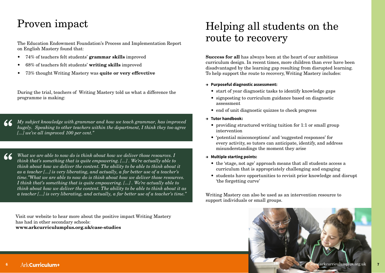## Proven impact

The Education Endowment Foundation's Process and Implementation Report on English Mastery found that:

- 74% of teachers felt students' **grammar skills** improved
- 68% of teachers felt students' **writing skills** improved
- 73% thought Writing Mastery was **quite or very effevctive**

**"** During the trial, teachers of Writing Mastery told us what a difference the programme is making:

*My subject knowledge with grammar and how we teach grammar, has improved hugely. Speaking to other teachers within the department, I think they too agree [...] we've all improved 100 per cent."* **"**

*What we are able to now do is think about how we deliver those resources. I think that's something that is quite empowering. [...] . We're actually able to think about how we deliver the content. The ability to be able to think about it as a teacher [...] is very liberating, and actually, a far better use of a teacher's time."What we are able to now do is think about how we deliver those resources. I think that's something that is quite empowering. [...] . We're actually able to think about how we deliver the content. The ability to be able to think about it as a teacher [...] is very liberating, and actually, a far better use of a teacher's time."*

Visit our website to hear more about the positive impact Writing Mastery has had in other secondary schools: **www.arkcurriculumplus.org.uk/case-studies**

## Helping all students on the route to recovery

**Success for all** has always been at the heart of our ambitious curriculum design. In recent times, more children than ever have been disadvantaged by the learning gap resulting from disrupted learning. To help support the route to recovery, Writing Mastery includes:

#### **→ Purposeful diagnostic assessment:**

- start of year diagnostic tasks to identify knowledge gaps
- signposting to curriculum guidance based on diagnostic assessment
- end of unit diagnostic quizzes to check progress
- **→ Tutor handbook:**
	- providing structured writing tuition for 1:1 or small group intervention
	- 'potential misconceptions' and 'suggested responses' for every activity, so tutors can anticipate, identify, and address misunderstandings the moment they arise
- **→ Multiple starting points:**
	- the 'stage, not age' approach means that all students access a curriculum that is appropriately challenging and engaging
	- students have opportunities to revisit prior knowledge and disrupt 'the forgetting curve'

Writing Mastery can also be used as an intervention resource to support individuals or small groups.



**"**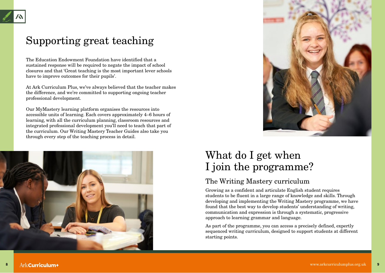## Supporting great teaching

The Education Endowment Foundation have identified that a sustained response will be required to negate the impact of school closures and that 'Great teaching is the most important lever schools have to improve outcomes for their pupils'.

At Ark Curriculum Plus, we've always believed that the teacher makes the difference, and we're committed to supporting ongoing teacher professional development.

Our MyMastery learning platform organises the resources into accessible units of learning. Each covers approximately 4–6 hours of learning, with all the curriculum planning, classroom resources and integrated professional development you'll need to teach that part of the curriculum. Our Writing Mastery Teacher Guides also take you through every step of the teaching process in detail.





## What do I get when I join the programme?

## The Writing Mastery curriculum

Growing as a confident and articulate English student requires students to be fluent in a large range of knowledge and skills. Through developing and implementing the Writing Mastery programme, we have found that the best way to develop students' understanding of writing, communication and expression is through a systematic, progressive approach to learning grammar and language.

As part of the programme, you can access a precisely defined, expertly sequenced writing curriculum, designed to support students at different starting points.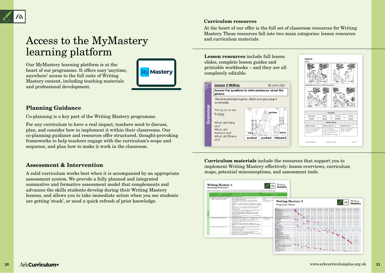# Access to the MyMastery learning platform

Our MyMastery learning platform is at the heart of our programme. It offers easy 'anytime, anywhere' access to the full suite of Writing Mastery content, including teaching materials and professional development.

# **Mv Mastery**

#### **Planning Guidance**

Co-planning is a key part of the Writing Mastery programme.

For any curriculum to have a real impact, teachers need to discuss, plan, and consider how to implement it within their classrooms. Our co-planning guidance and resources offer structured, thought-provoking frameworks to help teachers engage with the curriculum's scope and sequence, and plan how to make it work in the classroom.

#### **Assessment & Intervention**

A solid curriculum works best when it is accompanied by an appropriate assessment system. We provide a fully planned and integrated summative and formative assessment model that complements and advances the skills students develop during their Writing Mastery lessons, and allows you to take immediate action when you see students are getting 'stuck', or need a quick refresh of prior knowledge.

#### **Curriculum resources**

At the heart of our offer is the full set of classroom resources for Writing Mastery. These resources fall into two main categories: lesson resources and curriculum materials.

**Lesson resources** include full lesson slides, complete lesson guides and printable workbooks – and they are all completely editable.





**Curriculum materials** include the resources that support you to implement Writing Mastery effectively: lesson overviews, curriculum maps, potential misconceptions, and assessment tools.